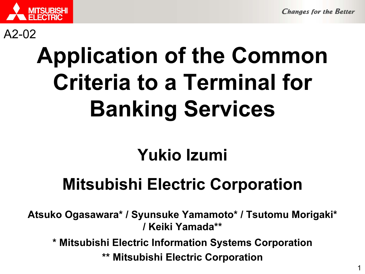

#### A2-02

# Application of the Common Criteria to a Terminal for Banking Services

# Yukio Izumi

# Mitsubishi Electric Corporation

Atsuko Ogasawara\* / Syunsuke Yamamoto\* / Tsutomu Morigaki\* / Keiki Yamada\*\*

\* Mitsubishi Electric Information Systems Corporation

\*\* Mitsubishi Electric Corporation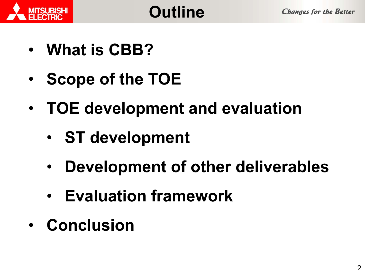



- What is CBB?
- •• Scope of the TOE
- • TOE development and evaluation
	- •ST development
	- $\bullet$ Development of other deliverables
	- $\bullet$ Evaluation framework
- Conclusion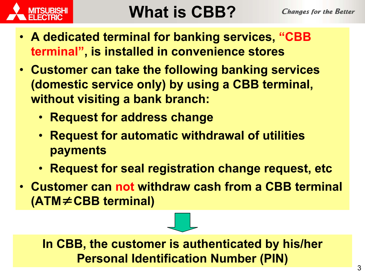

# What is CBB?

- A dedicated terminal for banking services, "CBB terminal", is installed in convenience stores
- Customer can take the following banking services (domestic service only) by using a CBB terminal, without visiting a bank branch:
	- Request for address change
	- Request for automatic withdrawal of utilities payments
	- Request for seal registration change request, etc
- Customer can not withdraw cash from a CBB terminal (ATM≠CBB terminal)

In CBB, the customer is authenticated by his/her Personal Identification Number (PIN)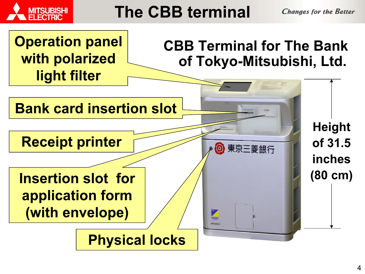

# The CBB terminal

**Changes for the Better** 

Operation panel with polarized light filter

### CBB Terminal for The Bank of Tokyo-Mitsubishi, Ltd.

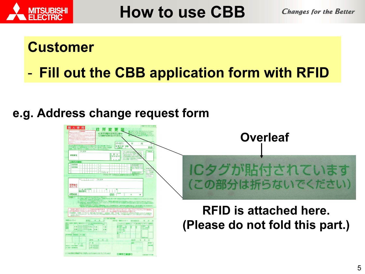

How to use CBB

**Changes for the Better** 

#### Customer

-Fill out the CBB application form with RFID

#### e.g. Address change request form

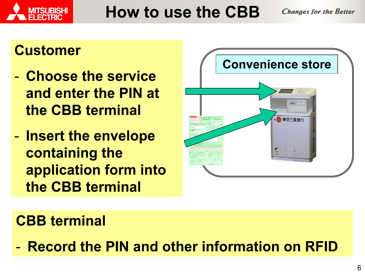



# How to use the CBB

#### **Customer**

- Choose the service and enter the PIN at the CBB terminal
- -- Insert the envelope containing the application form into the CBB terminal



## CBB terminal

- Record the PIN and other information on RFID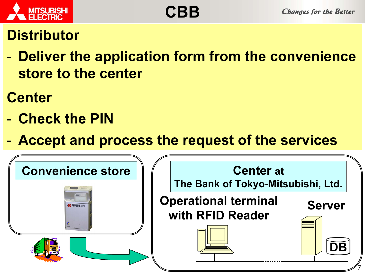

### **Distributor**

 Deliver the application form from the convenience store to the center

### **Center**

- Check the PIN
- Accept and process the request of the services

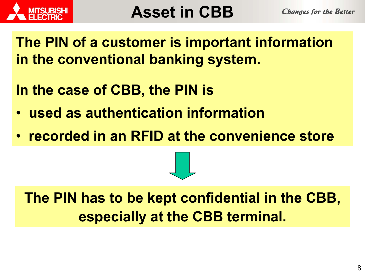

The PIN of a customer is important information in the conventional banking system.

- In the case of CBB, the PIN is
- used as authentication information
- •recorded in an RFID at the convenience store



The PIN has to be kept confidential in the CBB, especially at the CBB terminal.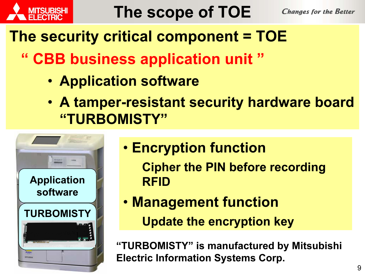

# The security critical component = TOE

- " CBB business application unit "
	- Application software
	- A tamper-resistant security hardware board "TURBOMISTY"



- Encryption function
	- Cipher the PIN before recording RFID
- Management function Update the encryption key

"TURBOMISTY" is manufactured by Mitsubishi Electric Information Systems Corp.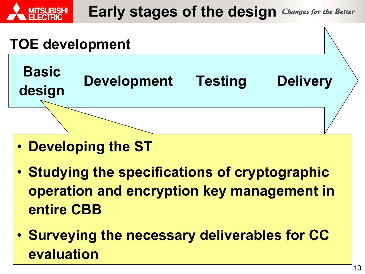

- Developing the ST
- Studying the specifications of cryptographic operation and encryption key management in entire CBB
- Surveying the necessary deliverables for CC evaluation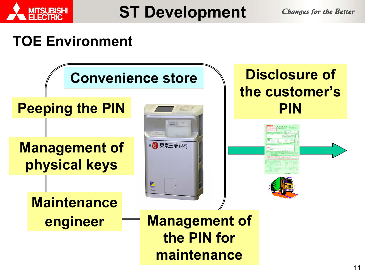

ST Development

**Changes for the Better** 

#### TOE Environment

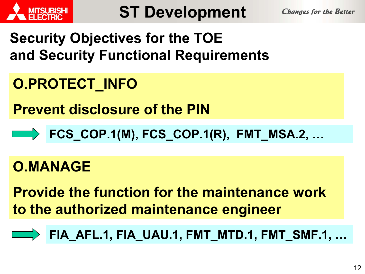

## Security Objectives for the TOE and Security Functional Requirements

# O.PROTECT\_INFO

Prevent disclosure of the PIN

FCS\_COP.1(M), FCS\_COP.1(R), FMT\_MSA.2, …

### O.MANAGE

Provide the function for the maintenance work to the authorized maintenance engineer

FIA\_AFL.1, FIA\_UAU.1, FMT\_MTD.1, FMT\_SMF.1, …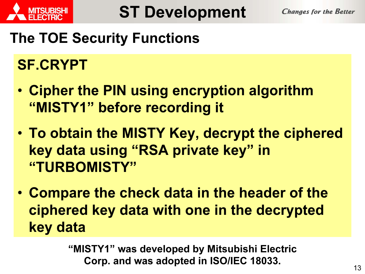

## The TOE Security Functions

# SF.CRYPT

- Cipher the PIN using encryption algorithm "MISTY1" before recording it
- To obtain the MISTY Key, decrypt the ciphered key data using "RSA private key" in "TURBOMISTY"
- Compare the check data in the header of the ciphered key data with one in the decrypted key data

"MISTY1" was developed by Mitsubishi Electric Corp. and was adopted in ISO/IEC 18033.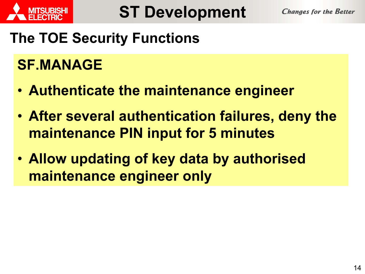

## The TOE Security Functions

## SF.MANAGE

- Authenticate the maintenance engineer
- After several authentication failures, deny the maintenance PIN input for 5 minutes
- Allow updating of key data by authorised maintenance engineer only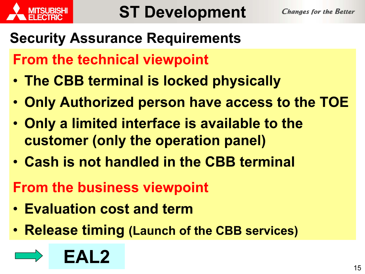

# Security Assurance Requirements

From the technical viewpoint

- The CBB terminal is locked physically
- Only Authorized person have access to the TOE
- Only a limited interface is available to the customer (only the operation panel)
- Cash is not handled in the CBB terminal
- From the business viewpoint
- Evaluation cost and term
- Release timing (Launch of the CBB services)

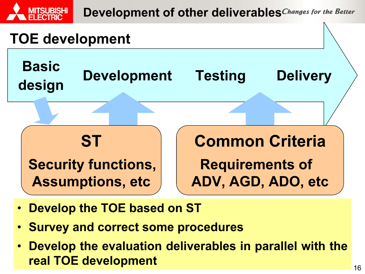





- •Develop the TOE based on ST
- •Survey and correct some procedures
- • Develop the evaluation deliverables in parallel with the real TOE development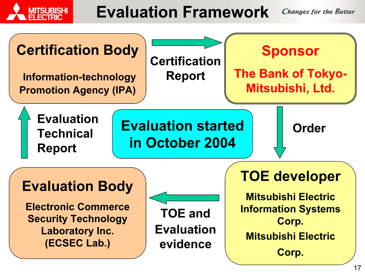

# Evaluation Framework

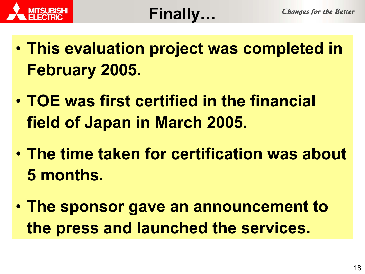



- This evaluation project was completed in February 2005.
- TOE was first certified in the financial field of Japan in March 2005.
- The time taken for certification was about 5 months.
- The sponsor gave an announcement to the press and launched the services.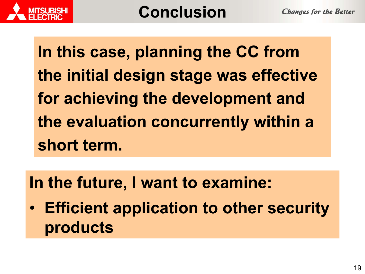In this case, planning the CC from the initial design stage was effective for achieving the development and the evaluation concurrently within a short term.

In the future, I want to examine:

 $\bullet$  Efficient application to other security products